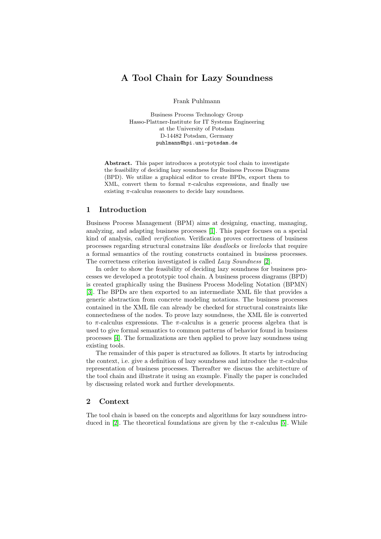# A Tool Chain for Lazy Soundness

Frank Puhlmann

Business Process Technology Group Hasso-Plattner-Institute for IT Systems Engineering at the University of Potsdam D-14482 Potsdam, Germany puhlmann@hpi.uni-potsdam.de

Abstract. This paper introduces a prototypic tool chain to investigate the feasibility of deciding lazy soundness for Business Process Diagrams (BPD). We utilize a graphical editor to create BPDs, export them to XML, convert them to formal  $\pi$ -calculus expressions, and finally use existing  $\pi$ -calculus reasoners to decide lazy soundness.

# 1 Introduction

Business Process Management (BPM) aims at designing, enacting, managing, analyzing, and adapting business processes [\[1\]](#page-6-0). This paper focuses on a special kind of analysis, called verification. Verification proves correctness of business processes regarding structural constrains like deadlocks or livelocks that require a formal semantics of the routing constructs contained in business processes. The correctness criterion investigated is called Lazy Soundness [\[2\]](#page-6-1).

In order to show the feasibility of deciding lazy soundness for business processes we developed a prototypic tool chain. A business process diagrams (BPD) is created graphically using the Business Process Modeling Notation (BPMN) [\[3\]](#page-6-2). The BPDs are then exported to an intermediate XML file that provides a generic abstraction from concrete modeling notations. The business processes contained in the XML file can already be checked for structural constraints like connectedness of the nodes. To prove lazy soundness, the XML file is converted to  $\pi$ -calculus expressions. The  $\pi$ -calculus is a generic process algebra that is used to give formal semantics to common patterns of behavior found in business processes [\[4\]](#page-6-3). The formalizations are then applied to prove lazy soundness using existing tools.

The remainder of this paper is structured as follows. It starts by introducing the context, i.e. give a definition of lazy soundness and introduce the  $\pi$ -calculus representation of business processes. Thereafter we discuss the architecture of the tool chain and illustrate it using an example. Finally the paper is concluded by discussing related work and further developments.

# 2 Context

The tool chain is based on the concepts and algorithms for lazy soundness intro-duced in [\[2\]](#page-6-1). The theoretical foundations are given by the  $\pi$ -calculus [\[5\]](#page-6-4). While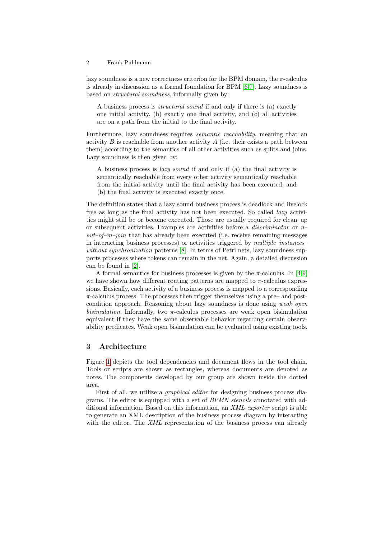#### 2 Frank Puhlmann

lazy soundness is a new correctness criterion for the BPM domain, the  $\pi$ -calculus is already in discussion as a formal foundation for BPM [\[6](#page-6-5)[,7\]](#page-6-6). Lazy soundness is based on structural soundness, informally given by:

A business process is structural sound if and only if there is (a) exactly one initial activity, (b) exactly one final activity, and (c) all activities are on a path from the initial to the final activity.

Furthermore, lazy soundness requires *semantic reachability*, meaning that an activity B is reachable from another activity A (i.e. their exists a path between them) according to the semantics of all other activities such as splits and joins. Lazy soundness is then given by:

A business process is lazy sound if and only if (a) the final activity is semantically reachable from every other activity semantically reachable from the initial activity until the final activity has been executed, and (b) the final activity is executed exactly once.

The definition states that a lazy sound business process is deadlock and livelock free as long as the final activity has not been executed. So called lazy activities might still be or become executed. Those are usually required for clean–up or subsequent activities. Examples are activities before a *discriminator* or  $n$  $out-of-m-join$  that has already been executed (i.e. receive remaining messages in interacting business processes) or activities triggered by *multiple–instances–* without synchronization patterns [\[8\]](#page-6-7). In terms of Petri nets, lazy soundness supports processes where tokens can remain in the net. Again, a detailed discussion can be found in [\[2\]](#page-6-1).

A formal semantics for business processes is given by the  $\pi$ -calculus. In [\[4,](#page-6-3)[9\]](#page-6-8) we have shown how different routing patterns are mapped to  $\pi$ -calculus expressions. Basically, each activity of a business process is mapped to a corresponding  $\pi$ -calculus process. The processes then trigger themselves using a pre– and postcondition approach. Reasoning about lazy soundness is done using weak open bisimulation. Informally, two  $\pi$ -calculus processes are weak open bisimulation equivalent if they have the same observable behavior regarding certain observability predicates. Weak open bisimulation can be evaluated using existing tools.

# 3 Architecture

Figure [1](#page-2-0) depicts the tool dependencies and document flows in the tool chain. Tools or scripts are shown as rectangles, whereas documents are denoted as notes. The components developed by our group are shown inside the dotted area.

First of all, we utilize a graphical editor for designing business process diagrams. The editor is equipped with a set of BPMN stencils annotated with additional information. Based on this information, an XML exporter script is able to generate an XML description of the business process diagram by interacting with the editor. The XML representation of the business process can already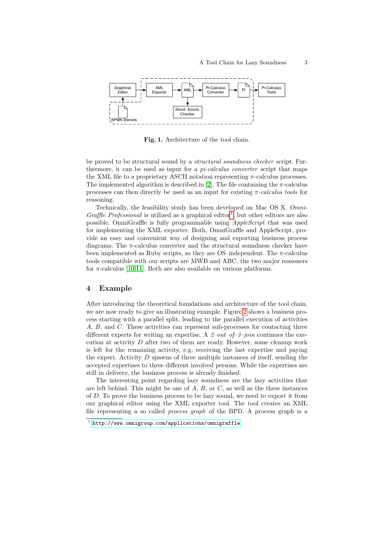

<span id="page-2-0"></span>Fig. 1. Architecture of the tool chain.

be proved to be structural sound by a structural soundness checker script. Furthermore, it can be used as input for a  $pi$ -calculus converter script that maps the XML file to a proprietary ASCII notation representing  $\pi$ -calculus processes. The implemented algorithm is described in [\[2\]](#page-6-1). The file containing the  $\pi$ -calculus processes can then directly be used as an input for existing  $\pi$ -calculus tools for reasoning.

Technically, the feasibility study has been developed on Mac OS X. Omni-Graffle Professional is utilized as a graphical editor<sup>[1](#page-2-1)</sup>, but other editors are also possible. OmniGraffle is fully programmable using AppleScript that was used for implementing the XML exporter. Both, OmniGraffle and AppleScript, provide an easy and convenient way of designing and exporting business process diagrams. The  $\pi$ -calculus converter and the structural soundness checker have been implemented as Ruby scripts, so they are OS–independent. The  $\pi$ -calculus tools compatible with our scripts are MWB and ABC, the two major reasoners for  $\pi$ -calculus [\[10,](#page-6-9)[11\]](#page-6-10). Both are also available on various platforms.

#### 4 Example

After introducing the theoretical foundations and architecture of the tool chain, we are now ready to give an illustrating example. Figure [2](#page-3-0) shows a business process starting with a parallel split, leading to the parallel execution of activities A, B, and C. These activities can represent sub-processes for contacting three different experts for writing an expertise. A  $\ell$ -out-of-3-join continues the execution at activity  $D$  after two of them are ready. However, some cleanup work is left for the remaining activity, e.g. receiving the last expertise and paying the expert. Activity  $D$  spawns of three multiple instances of itself, sending the accepted expertises to three different involved persons. While the expertises are still in delivery, the business process is already finished.

The interesting point regarding lazy soundness are the lazy activities that are left behind. This might be one of  $A, B,$  or  $C$ , as well as the three instances of D. To prove the business process to be lazy sound, we need to export it from our graphical editor using the XML exporter tool. The tool creates an XML file representing a so called process graph of the BPD. A process graph is a

<span id="page-2-1"></span><sup>1</sup> <http://www.omnigroup.com/applications/omnigraffle>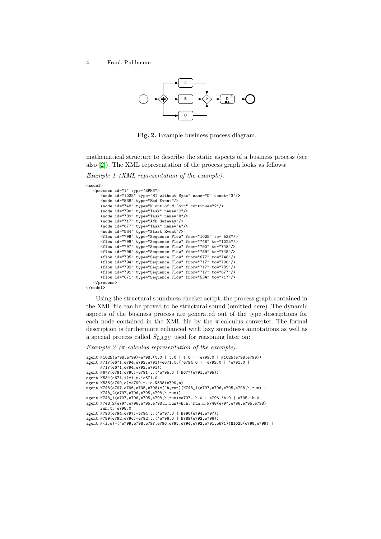4 Frank Puhlmann



<span id="page-3-0"></span>Fig. 2. Example business process diagram.

mathematical structure to describe the static aspects of a business process (see also [\[2\]](#page-6-1)). The XML representation of the process graph looks as follows:

Example 1 (XML representation of the example).

| $model$     |                                                                   |
|-------------|-------------------------------------------------------------------|
|             | <process id="1" type="BPMN"></process>                            |
|             | <node count="3" id="1025" name="D" type="MI without Sync"></node> |
|             | <node id="538" type="End Event"></node>                           |
|             | <node continue="2" id="748" type="N-out-of-M-Join"></node>        |
|             | <node id="790" name="C" type="Task"></node>                       |
|             | <node id="789" name="B" type="Task"></node>                       |
|             | <node id="717" type="AND Gateway"></node>                         |
|             | <node id="677" name="A" type="Task"></node>                       |
|             | <node id="534" type="Start Event"></node>                         |
|             | <flow from="1025" id="799" to="538" type="Sequence Flow"></flow>  |
|             | <flow from="748" id="798" to="1025" type="Sequence Flow"></flow>  |
|             | <flow from="790" id="797" to="748" type="Sequence Flow"></flow>   |
|             | <flow from="789" id="796" to="748" type="Sequence Flow"></flow>   |
|             | <flow from="677" id="795" to="748" type="Sequence Flow"></flow>   |
|             | <flow from="717" id="794" to="790" type="Sequence Flow"></flow>   |
|             | <flow from="717" id="792" to="789" type="Sequence Flow"></flow>   |
|             | <flow from="717" id="791" to="677" type="Sequence Flow"></flow>   |
|             | <flow from="534" id="671" to="717" type="Sequence Flow"></flow>   |
|             |                                                                   |
| $<$ /model> |                                                                   |

Using the structural soundness checker script, the process graph contained in the XML file can be proved to be structural sound (omitted here). The dynamic aspects of the business process are generated out of the type descriptions for each node contained in the XML file by the  $\pi$ -calculus converter. The formal description is furthermore enhanced with lazy soundness annotations as well as a special process called  $S_{LAZY}$  used for reasoning later on:

Example 2 ( $\pi$ -calculus representation of the example).

```
agent N1025(e798,e799)=e798.(t.0 | t.0 | t.0 | 'e799.0 | N1025(e798,e799))
agent N717(e671,e794,e792,e791)=e671.t.('e794.0 | 'e792.0 | 'e791.0 |
     N717(e671,e794,e792,e791))
agent N677(e791,e795)=e791.t.('e795.0 | N677(e791,e795))
agent N534(e671,i)=i.t.'e671.0
agent N538(e799,o)=e799.t.'o.N538(e799,o)
agent N748(e797,e796,e795,e798)=(^h,run)(N748_1(e797,e796,e795,e798,h,run) |
      N748_2(e797,e796,e795,e798,h,run))
agent N748_1(e797,e796,e795,e798,h,run)=e797.'h.0 | e796.'h.0 | e795.'h.0
agent N748_2(e797,e796,e795,e798,h,run)=h.h.'run.h.N748(e797,e796,e795,e798) |
     run.t.'e798.0
agent N790(e794,e797)=e794.t.('e797.0 | N790(e794,e797))
agent N789(e792,e796)=e792.t.('e796.0 | N789(e792,e796))
agent N(i,o)=(^e799,e798,e797,e796,e795,e794,e792,e791,e671)(N1025(e798,e799) |
```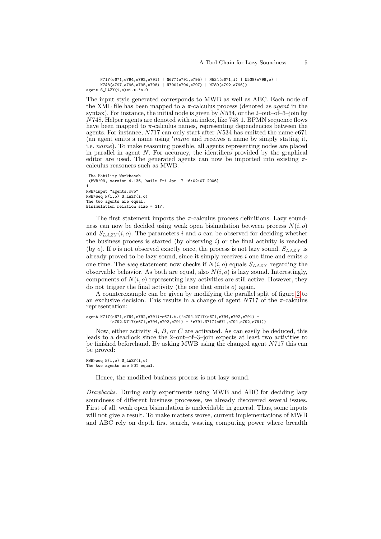```
N717(e671,e794,e792,e791) | N677(e791,e795) | N534(e671,i) | N538(e799,o) |
     N748(e797,e796,e795,e798) | N790(e794,e797) | N789(e792,e796))
agent S_LAZY(i,o)=i.t.'o.0
```
The input style generated corresponds to MWB as well as ABC. Each node of the XML file has been mapped to a  $\pi$ -calculus process (denoted as *agent* in the syntax). For instance, the initial node is given by  $N534$ , or the 2–out–of–3–join by N748. Helper agents are denoted with an index, like 748 1. BPMN sequence flows have been mapped to  $\pi$ -calculus names, representing dependencies between the agents. For instance,  $N717$  can only start after  $N534$  has emitted the name  $e671$ (an agent emits a name using  $'name$  and receives a name by simply stating it, i.e. name). To make reasoning possible, all agents representing nodes are placed in parallel in agent  $N$ . For accuracy, the identifiers provided by the graphical editor are used. The generated agents can now be imported into existing  $\pi$ calculus reasoners such as MWB:

```
The Mobility Workbench
 (MWB'99, version 4.136, built Fri Apr 7 16:02:07 2006)
1
MWB>input "agents.mwb"
MWB>weq N(i,o) S_LAZY(i,o)
The two agents are equal.
Bisimulation relation size = 317.
```
The first statement imports the  $\pi$ -calculus process definitions. Lazy soundness can now be decided using weak open bisimulation between process  $N(i, o)$ and  $S_{LAZY}(i, o)$ . The parameters i and o can be observed for deciding whether the business process is started (by observing  $i$ ) or the final activity is reached (by  $o$ ). If  $o$  is not observed exactly once, the process is not lazy sound.  $S_{LAZY}$  is already proved to be lazy sound, since it simply receives  $i$  one time and emits  $o$ one time. The weg statement now checks if  $N(i, o)$  equals  $S_{LAZY}$  regarding the observable behavior. As both are equal, also  $N(i, o)$  is lazy sound. Interestingly, components of  $N(i, o)$  representing lazy activities are still active. However, they do not trigger the final activity (the one that emits o) again.

A counterexample can be given by modifying the parallel split of figure [2](#page-3-0) to an exclusive decision. This results in a change of agent  $N717$  of the  $\pi$ -calculus representation:

```
agent N717(e671,e794,e792,e791)=e671.t.('e794.N717(e671,e794,e792,e791) +
          'e792.N717(e671,e794,e792,e791) + 'e791.N717(e671,e794,e792,e791))
```
Now, either activity  $A$ ,  $B$ , or  $C$  are activated. As can easily be deduced, this leads to a deadlock since the 2–out–of–3–join expects at least two activities to be finished beforehand. By asking MWB using the changed agent N717 this can be proved:

```
MWB>weq N(i,o) S_LAZY(i,o)
The two agents are NOT equal.
```
Hence, the modified business process is not lazy sound.

Drawbacks. During early experiments using MWB and ABC for deciding lazy soundness of different business processes, we already discovered several issues. First of all, weak open bisimulation is undecidable in general. Thus, some inputs will not give a result. To make matters worse, current implementations of MWB and ABC rely on depth first search, wasting computing power where breadth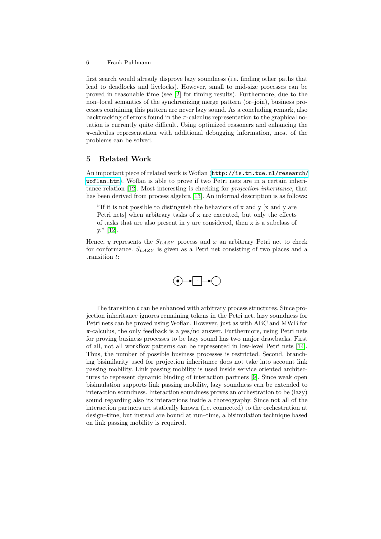#### 6 Frank Puhlmann

first search would already disprove lazy soundness (i.e. finding other paths that lead to deadlocks and livelocks). However, small to mid-size processes can be proved in reasonable time (see [\[2\]](#page-6-1) for timing results). Furthermore, due to the non–local semantics of the synchronizing merge pattern (or–join), business processes containing this pattern are never lazy sound. As a concluding remark, also backtracking of errors found in the  $\pi$ -calculus representation to the graphical notation is currently quite difficult. Using optimized reasoners and enhancing the  $\pi$ -calculus representation with additional debugging information, most of the problems can be solved.

# 5 Related Work

An important piece of related work is Woflan ([http://is.tm.tue.nl/research/](http://is.tm.tue.nl/research/woflan.htm) [woflan.htm](http://is.tm.tue.nl/research/woflan.htm)). Woflan is able to prove if two Petri nets are in a certain inheritance relation [\[12\]](#page-6-11). Most interesting is checking for projection inheritance, that has been derived from process algebra [\[13\]](#page-7-0). An informal description is as follows:

"If it is not possible to distinguish the behaviors of  $x$  and  $y$  [ $x$  and  $y$  are Petri nets] when arbitrary tasks of x are executed, but only the effects of tasks that are also present in y are considered, then x is a subclass of y." [\[12\]](#page-6-11).

Hence, y represents the  $S_{LAZY}$  process and x an arbitrary Petri net to check for conformance.  $S_{LAZY}$  is given as a Petri net consisting of two places and a transition t:



The transition  $t$  can be enhanced with arbitrary process structures. Since projection inheritance ignores remaining tokens in the Petri net, lazy soundness for Petri nets can be proved using Woflan. However, just as with ABC and MWB for  $\pi$ -calculus, the only feedback is a yes/no answer. Furthermore, using Petri nets for proving business processes to be lazy sound has two major drawbacks. First of all, not all workflow patterns can be represented in low-level Petri nets [\[14\]](#page-7-1). Thus, the number of possible business processes is restricted. Second, branching bisimilarity used for projection inheritance does not take into account link passing mobility. Link passing mobility is used inside service oriented architectures to represent dynamic binding of interaction partners [\[9\]](#page-6-8). Since weak open bisimulation supports link passing mobility, lazy soundness can be extended to interaction soundness. Interaction soundness proves an orchestration to be (lazy) sound regarding also its interactions inside a choreography. Since not all of the interaction partners are statically known (i.e. connected) to the orchestration at design–time, but instead are bound at run–time, a bisimulation technique based on link passing mobility is required.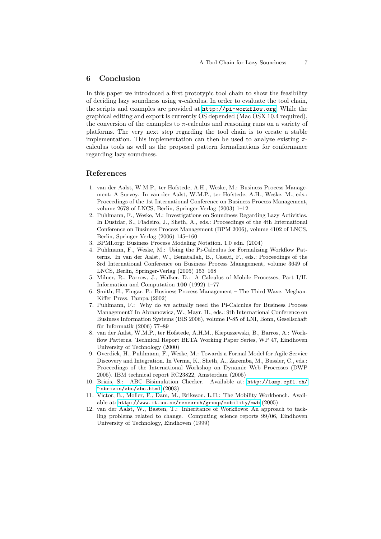#### 6 Conclusion

In this paper we introduced a first prototypic tool chain to show the feasibility of deciding lazy soundness using  $\pi$ -calculus. In order to evaluate the tool chain, the scripts and examples are provided at <http://pi-workflow.org>. While the graphical editing and export is currently OS depended (Mac OSX 10.4 required), the conversion of the examples to  $\pi$ -calculus and reasoning runs on a variety of platforms. The very next step regarding the tool chain is to create a stable implementation. This implementation can then be used to analyze existing  $\pi$ calculus tools as well as the proposed pattern formalizations for conformance regarding lazy soundness.

## References

- <span id="page-6-0"></span>1. van der Aalst, W.M.P., ter Hofstede, A.H., Weske, M.: Business Process Management: A Survey. In van der Aalst, W.M.P., ter Hofstede, A.H., Weske, M., eds.: Proceedings of the 1st International Conference on Business Process Management, volume 2678 of LNCS, Berlin, Springer-Verlag (2003) 1–12
- <span id="page-6-1"></span>2. Puhlmann, F., Weske, M.: Investigations on Soundness Regarding Lazy Activities. In Dustdar, S., Fiadeiro, J., Sheth, A., eds.: Proceedings of the 4th International Conference on Business Process Management (BPM 2006), volume 4102 of LNCS, Berlin, Springer Verlag (2006) 145–160
- <span id="page-6-2"></span>3. BPMI.org: Business Process Modeling Notation. 1.0 edn. (2004)
- <span id="page-6-3"></span>4. Puhlmann, F., Weske, M.: Using the Pi-Calculus for Formalizing Workflow Patterns. In van der Aalst, W., Benatallah, B., Casati, F., eds.: Proceedings of the 3rd International Conference on Business Process Management, volume 3649 of LNCS, Berlin, Springer-Verlag (2005) 153–168
- <span id="page-6-4"></span>5. Milner, R., Parrow, J., Walker, D.: A Calculus of Mobile Processes, Part I/II. Information and Computation 100 (1992) 1–77
- <span id="page-6-5"></span>6. Smith, H., Fingar, P.: Business Process Management – The Third Wave. Meghan-Kiffer Press, Tampa (2002)
- <span id="page-6-6"></span>7. Puhlmann, F.: Why do we actually need the Pi-Calculus for Business Process Management? In Abramowicz, W., Mayr, H., eds.: 9th International Conference on Business Information Systems (BIS 2006), volume P-85 of LNI, Bonn, Gesellschaft für Informatik  $(2006)$  77–89
- <span id="page-6-7"></span>8. van der Aalst, W.M.P., ter Hofstede, A.H.M., Kiepuszewski, B., Barros, A.: Workflow Patterns. Technical Report BETA Working Paper Series, WP 47, Eindhoven University of Technology (2000)
- <span id="page-6-8"></span>9. Overdick, H., Puhlmann, F., Weske, M.: Towards a Formal Model for Agile Service Discovery and Integration. In Verma, K., Sheth, A., Zaremba, M., Bussler, C., eds.: Proceedings of the International Workshop on Dynamic Web Processes (DWP 2005). IBM technical report RC23822, Amsterdam (2005)
- <span id="page-6-9"></span>10. Briais, S.: ABC Bisimulation Checker. Available at: [http://lamp.epfl.ch/](http://lamp.epfl.ch/~sbriais/abc/abc.html) <sup>∼</sup>[sbriais/abc/abc.html](http://lamp.epfl.ch/~sbriais/abc/abc.html) (2003)
- <span id="page-6-10"></span>11. Victor, B., Moller, F., Dam, M., Eriksson, L.H.: The Mobility Workbench. Available at: <http://www.it.uu.se/research/group/mobility/mwb> (2005)
- <span id="page-6-11"></span>12. van der Aalst, W., Basten, T.: Inheritance of Workflows: An approach to tackling problems related to change. Computing science reports 99/06, Eindhoven University of Technology, Eindhoven (1999)